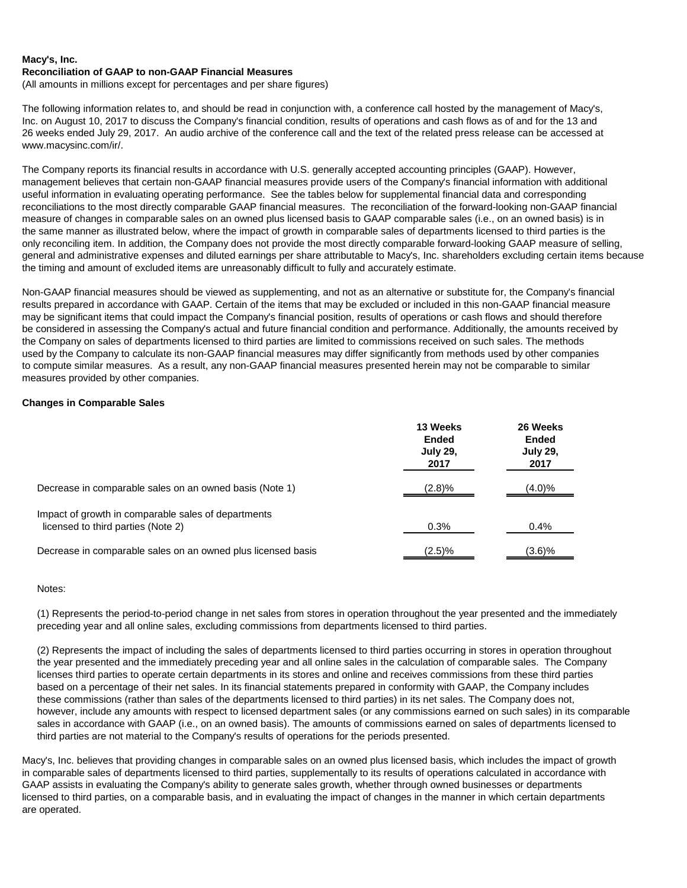#### **Macy's, Inc. Reconciliation of GAAP to non-GAAP Financial Measures**

(All amounts in millions except for percentages and per share figures)

The following information relates to, and should be read in conjunction with, a conference call hosted by the management of Macy's, Inc. on August 10, 2017 to discuss the Company's financial condition, results of operations and cash flows as of and for the 13 and 26 weeks ended July 29, 2017. An audio archive of the conference call and the text of the related press release can be accessed at www.macysinc.com/ir/.

The Company reports its financial results in accordance with U.S. generally accepted accounting principles (GAAP). However, management believes that certain non-GAAP financial measures provide users of the Company's financial information with additional useful information in evaluating operating performance. See the tables below for supplemental financial data and corresponding reconciliations to the most directly comparable GAAP financial measures. The reconciliation of the forward-looking non-GAAP financial measure of changes in comparable sales on an owned plus licensed basis to GAAP comparable sales (i.e., on an owned basis) is in the same manner as illustrated below, where the impact of growth in comparable sales of departments licensed to third parties is the only reconciling item. In addition, the Company does not provide the most directly comparable forward-looking GAAP measure of selling, general and administrative expenses and diluted earnings per share attributable to Macy's, Inc. shareholders excluding certain items because the timing and amount of excluded items are unreasonably difficult to fully and accurately estimate.

Non-GAAP financial measures should be viewed as supplementing, and not as an alternative or substitute for, the Company's financial results prepared in accordance with GAAP. Certain of the items that may be excluded or included in this non-GAAP financial measure may be significant items that could impact the Company's financial position, results of operations or cash flows and should therefore be considered in assessing the Company's actual and future financial condition and performance. Additionally, the amounts received by the Company on sales of departments licensed to third parties are limited to commissions received on such sales. The methods used by the Company to calculate its non-GAAP financial measures may differ significantly from methods used by other companies to compute similar measures. As a result, any non-GAAP financial measures presented herein may not be comparable to similar measures provided by other companies.

### **Changes in Comparable Sales**

|                                                                                           | 13 Weeks<br><b>Ended</b><br><b>July 29,</b><br>2017 | 26 Weeks<br><b>Ended</b><br><b>July 29,</b><br>2017 |
|-------------------------------------------------------------------------------------------|-----------------------------------------------------|-----------------------------------------------------|
| Decrease in comparable sales on an owned basis (Note 1)                                   | (2.8)%                                              | (4.0)%                                              |
| Impact of growth in comparable sales of departments<br>licensed to third parties (Note 2) | 0.3%                                                | $0.4\%$                                             |
| Decrease in comparable sales on an owned plus licensed basis                              | (2.5)%                                              | (3.6)%                                              |

#### Notes:

(1) Represents the period-to-period change in net sales from stores in operation throughout the year presented and the immediately preceding year and all online sales, excluding commissions from departments licensed to third parties.

(2) Represents the impact of including the sales of departments licensed to third parties occurring in stores in operation throughout the year presented and the immediately preceding year and all online sales in the calculation of comparable sales. The Company licenses third parties to operate certain departments in its stores and online and receives commissions from these third parties based on a percentage of their net sales. In its financial statements prepared in conformity with GAAP, the Company includes these commissions (rather than sales of the departments licensed to third parties) in its net sales. The Company does not, however, include any amounts with respect to licensed department sales (or any commissions earned on such sales) in its comparable sales in accordance with GAAP (i.e., on an owned basis). The amounts of commissions earned on sales of departments licensed to third parties are not material to the Company's results of operations for the periods presented.

Macy's, Inc. believes that providing changes in comparable sales on an owned plus licensed basis, which includes the impact of growth in comparable sales of departments licensed to third parties, supplementally to its results of operations calculated in accordance with GAAP assists in evaluating the Company's ability to generate sales growth, whether through owned businesses or departments licensed to third parties, on a comparable basis, and in evaluating the impact of changes in the manner in which certain departments are operated.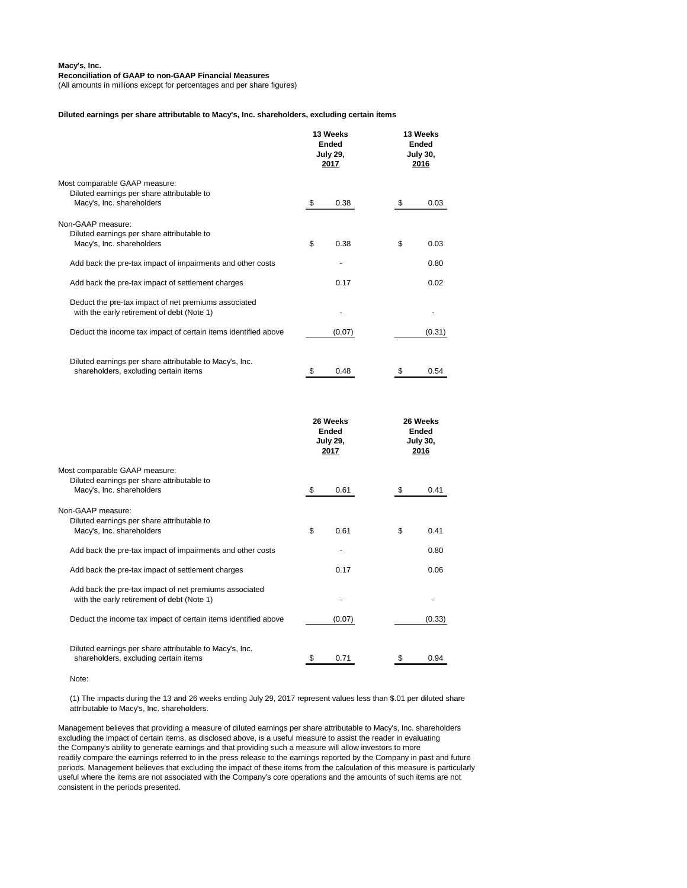#### **Reconciliation of GAAP to non-GAAP Financial Measures**

(All amounts in millions except for percentages and per share figures)

#### **Diluted earnings per share attributable to Macy's, Inc. shareholders, excluding certain items**

|                                                                                                          | 13 Weeks<br><b>Ended</b><br><b>July 29,</b><br>2017 | 13 Weeks<br><b>Ended</b><br><b>July 30,</b><br>2016 |  |
|----------------------------------------------------------------------------------------------------------|-----------------------------------------------------|-----------------------------------------------------|--|
| Most comparable GAAP measure:<br>Diluted earnings per share attributable to<br>Macy's, Inc. shareholders | \$<br>0.38                                          | 0.03<br>\$                                          |  |
| Non-GAAP measure:<br>Diluted earnings per share attributable to<br>Macy's, Inc. shareholders             | \$<br>0.38                                          | \$<br>0.03                                          |  |
| Add back the pre-tax impact of impairments and other costs                                               |                                                     | 0.80                                                |  |
| Add back the pre-tax impact of settlement charges                                                        | 0.17                                                | 0.02                                                |  |
| Deduct the pre-tax impact of net premiums associated<br>with the early retirement of debt (Note 1)       |                                                     |                                                     |  |
| Deduct the income tax impact of certain items identified above                                           | (0.07)                                              | (0.31)                                              |  |
| Diluted earnings per share attributable to Macy's, Inc.<br>shareholders, excluding certain items         | 0.48<br>\$                                          | \$<br>0.54                                          |  |
|                                                                                                          |                                                     |                                                     |  |
|                                                                                                          | 26 Weeks<br><b>Ended</b><br><b>July 29,</b><br>2017 | 26 Weeks<br><b>Ended</b><br><b>July 30,</b><br>2016 |  |
| Most comparable GAAP measure:<br>Diluted earnings per share attributable to<br>Macy's, Inc. shareholders | \$<br>0.61                                          | S<br>0.41                                           |  |
| Non-GAAP measure:<br>Diluted earnings per share attributable to<br>Macy's, Inc. shareholders             | \$<br>0.61                                          | 0.41<br>\$                                          |  |
| Add back the pre-tax impact of impairments and other costs                                               |                                                     | 0.80                                                |  |
| Add back the pre-tax impact of settlement charges                                                        | 0.17                                                | 0.06                                                |  |
| Add back the pre-tax impact of net premiums associated<br>with the early retirement of debt (Note 1)     |                                                     |                                                     |  |
| Deduct the income tax impact of certain items identified above                                           | (0.07)                                              | (0.33)                                              |  |

Note:

(1) The impacts during the 13 and 26 weeks ending July 29, 2017 represent values less than \$.01 per diluted share

### attributable to Macy's, Inc. shareholders.

Management believes that providing a measure of diluted earnings per share attributable to Macy's, Inc. shareholders excluding the impact of certain items, as disclosed above, is a useful measure to assist the reader in evaluating the Company's ability to generate earnings and that providing such a measure will allow investors to more readily compare the earnings referred to in the press release to the earnings reported by the Company in past and future periods. Management believes that excluding the impact of these items from the calculation of this measure is particularly useful where the items are not associated with the Company's core operations and the amounts of such items are not consistent in the periods presented.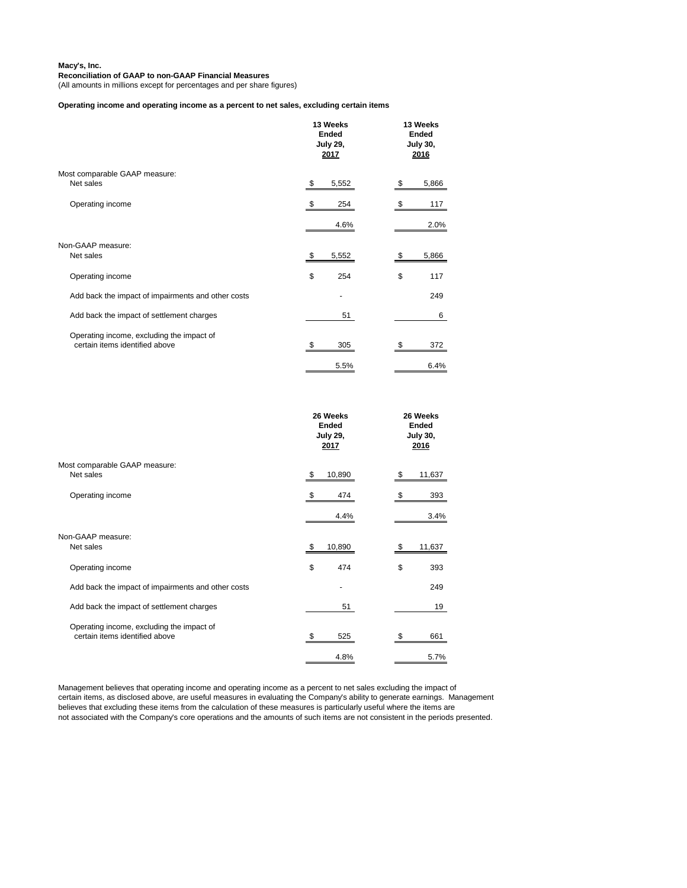### **Reconciliation of GAAP to non-GAAP Financial Measures**

(All amounts in millions except for percentages and per share figures)

## **Operating income and operating income as a percent to net sales, excluding certain items**

|                                                                             | 13 Weeks<br><b>Ended</b><br><b>July 29,</b><br>2017 | 13 Weeks<br><b>Ended</b><br><b>July 30,</b><br>2016 |
|-----------------------------------------------------------------------------|-----------------------------------------------------|-----------------------------------------------------|
| Most comparable GAAP measure:<br>Net sales                                  | 5,552<br>\$                                         | 5,866                                               |
| Operating income                                                            | 254                                                 | 117                                                 |
|                                                                             | 4.6%                                                | 2.0%                                                |
| Non-GAAP measure:<br>Net sales                                              | \$<br>5,552                                         | 5,866<br>S                                          |
| Operating income                                                            | \$<br>254                                           | \$<br>117                                           |
| Add back the impact of impairments and other costs                          |                                                     | 249                                                 |
| Add back the impact of settlement charges                                   | 51                                                  | 6                                                   |
| Operating income, excluding the impact of<br>certain items identified above | 305                                                 | 372                                                 |
|                                                                             | 5.5%                                                | 6.4%                                                |

|                                                                             | 26 Weeks<br><b>Ended</b><br><b>July 29,</b><br>2017 | 26 Weeks<br><b>Ended</b><br><b>July 30,</b><br>2016 |
|-----------------------------------------------------------------------------|-----------------------------------------------------|-----------------------------------------------------|
| Most comparable GAAP measure:<br>Net sales                                  | 10,890<br>- \$                                      | 11,637                                              |
| Operating income                                                            | 474                                                 | 393                                                 |
|                                                                             | 4.4%                                                | 3.4%                                                |
| Non-GAAP measure:<br>Net sales                                              | 10,890<br>\$                                        | 11,637                                              |
| Operating income                                                            | \$<br>474                                           | \$<br>393                                           |
| Add back the impact of impairments and other costs                          |                                                     | 249                                                 |
| Add back the impact of settlement charges                                   | 51                                                  | 19                                                  |
| Operating income, excluding the impact of<br>certain items identified above | 525                                                 | 661                                                 |
|                                                                             | 4.8%                                                | 5.7%                                                |

Management believes that operating income and operating income as a percent to net sales excluding the impact of certain items, as disclosed above, are useful measures in evaluating the Company's ability to generate earnings. Management believes that excluding these items from the calculation of these measures is particularly useful where the items are not associated with the Company's core operations and the amounts of such items are not consistent in the periods presented.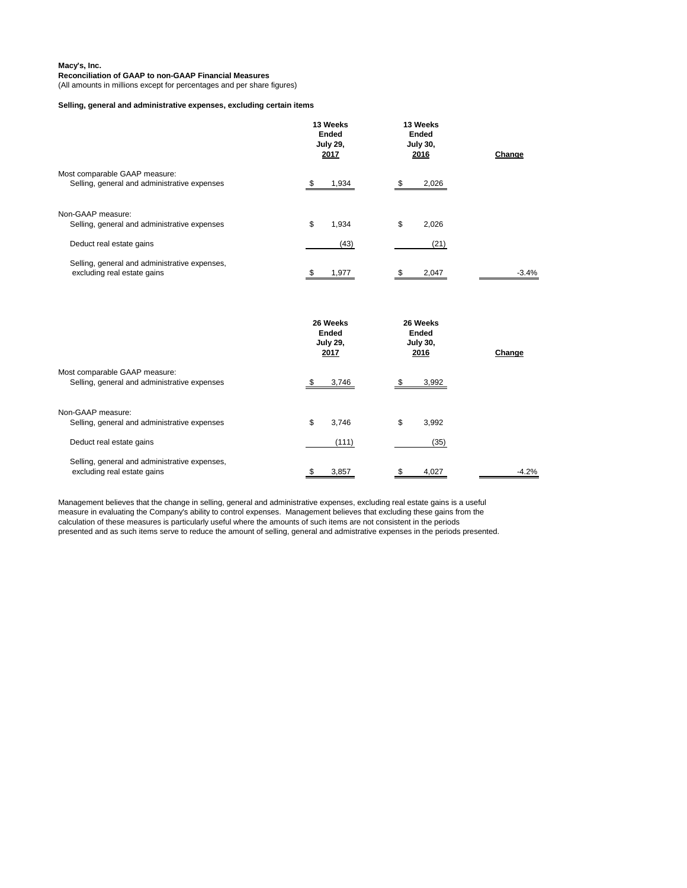### **Reconciliation of GAAP to non-GAAP Financial Measures**

(All amounts in millions except for percentages and per share figures)

# **Selling, general and administrative expenses, excluding certain items**

|                                                                                               | 13 Weeks<br><b>Ended</b><br><b>July 29,</b><br>2017 | 13 Weeks<br><b>Ended</b><br><b>July 30,</b><br>2016 | Change  |
|-----------------------------------------------------------------------------------------------|-----------------------------------------------------|-----------------------------------------------------|---------|
| Most comparable GAAP measure:<br>Selling, general and administrative expenses                 | 1,934                                               | 2,026                                               |         |
| Non-GAAP measure:<br>Selling, general and administrative expenses<br>Deduct real estate gains | \$<br>1,934<br>(43)                                 | \$<br>2,026<br>(21)                                 |         |
| Selling, general and administrative expenses,<br>excluding real estate gains                  | 1,977                                               | 2,047                                               | $-3.4%$ |

|                                               | 26 Weeks<br><b>Ended</b><br><b>July 29,</b><br>2017 | 26 Weeks<br><b>Ended</b><br><b>July 30,</b><br>2016 | Change  |  |
|-----------------------------------------------|-----------------------------------------------------|-----------------------------------------------------|---------|--|
| Most comparable GAAP measure:                 |                                                     |                                                     |         |  |
| Selling, general and administrative expenses  | 3,746                                               | 3,992                                               |         |  |
| Non-GAAP measure:                             |                                                     |                                                     |         |  |
| Selling, general and administrative expenses  | \$<br>3,746                                         | \$<br>3,992                                         |         |  |
| Deduct real estate gains                      | (111)                                               | (35)                                                |         |  |
| Selling, general and administrative expenses, |                                                     |                                                     |         |  |
| excluding real estate gains                   | 3,857                                               | 4,027                                               | $-4.2%$ |  |

Management believes that the change in selling, general and administrative expenses, excluding real estate gains is a useful measure in evaluating the Company's ability to control expenses. Management believes that excluding these gains from the calculation of these measures is particularly useful where the amounts of such items are not consistent in the periods presented and as such items serve to reduce the amount of selling, general and admistrative expenses in the periods presented.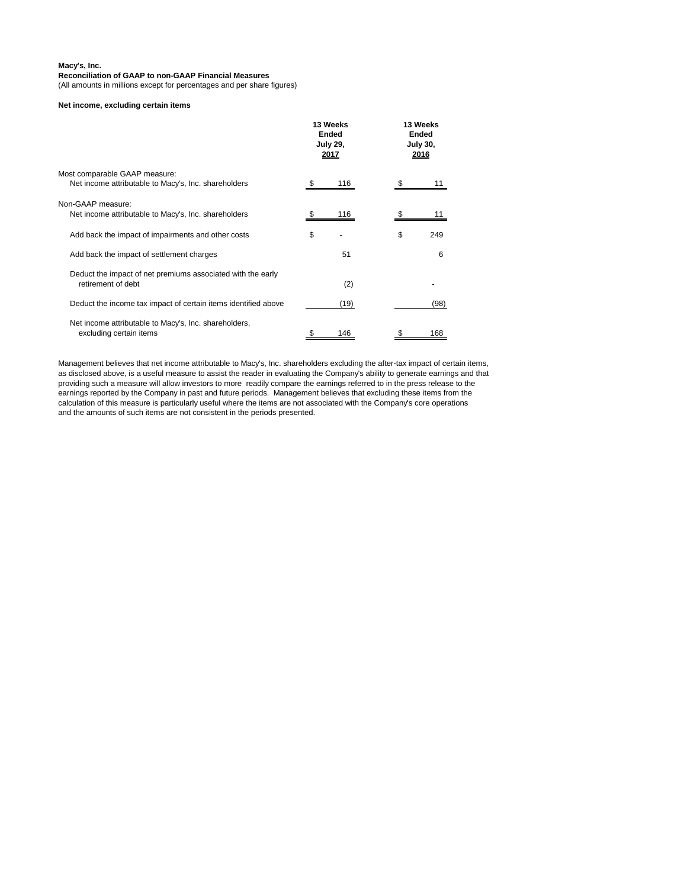### **Reconciliation of GAAP to non-GAAP Financial Measures**

(All amounts in millions except for percentages and per share figures)

### **Net income, excluding certain items**

|                                                                                       | 13 Weeks<br><b>Ended</b><br><b>July 29,</b><br><u>2017</u> |    | 13 Weeks<br><b>Ended</b><br><b>July 30,</b><br><u> 2016</u> |
|---------------------------------------------------------------------------------------|------------------------------------------------------------|----|-------------------------------------------------------------|
| Most comparable GAAP measure:<br>Net income attributable to Macy's, Inc. shareholders | \$<br>116                                                  |    |                                                             |
| Non-GAAP measure:<br>Net income attributable to Macy's, Inc. shareholders             | \$<br>116                                                  |    | 11                                                          |
| Add back the impact of impairments and other costs                                    | \$                                                         | \$ | 249                                                         |
| Add back the impact of settlement charges                                             | 51                                                         |    | 6                                                           |
| Deduct the impact of net premiums associated with the early<br>retirement of debt     | (2)                                                        |    |                                                             |
| Deduct the income tax impact of certain items identified above                        | (19)                                                       |    | (98)                                                        |
| Net income attributable to Macy's, Inc. shareholders,<br>excluding certain items      | \$<br>146                                                  |    | 168                                                         |

Management believes that net income attributable to Macy's, Inc. shareholders excluding the after-tax impact of certain items, as disclosed above, is a useful measure to assist the reader in evaluating the Company's ability to generate earnings and that providing such a measure will allow investors to more readily compare the earnings referred to in the press release to the earnings reported by the Company in past and future periods. Management believes that excluding these items from the calculation of this measure is particularly useful where the items are not associated with the Company's core operations and the amounts of such items are not consistent in the periods presented.